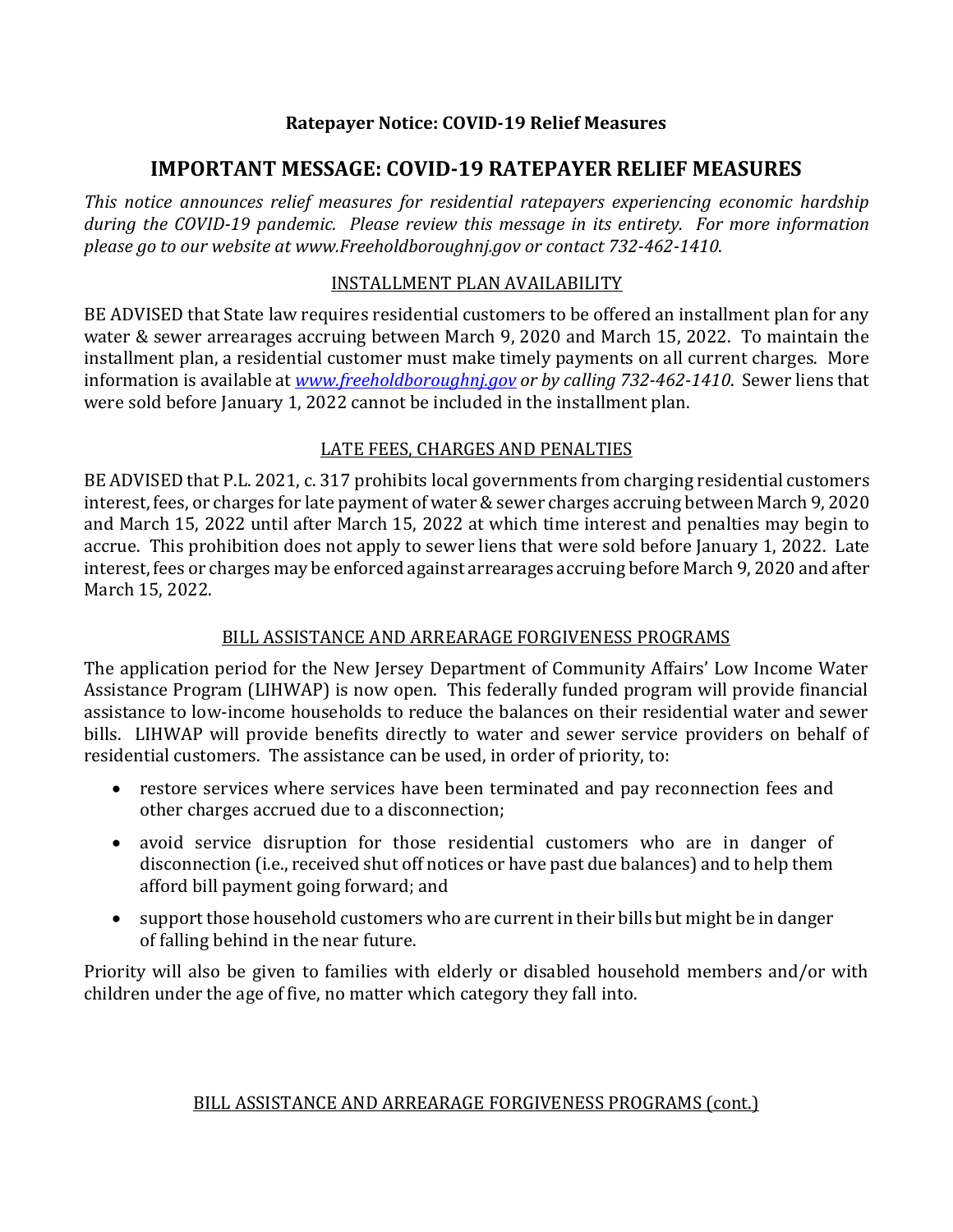### **Ratepayer Notice: COVID-19 Relief Measures**

# **IMPORTANT MESSAGE: COVID-19 RATEPAYER RELIEF MEASURES**

*This notice announces relief measures for residential ratepayers experiencing economic hardship during the COVID-19 pandemic. Please review this message in its entirety. For more information please go to our website at www.Freeholdboroughnj.gov or contact 732-462-1410*.

#### INSTALLMENT PLAN AVAILABILITY

BE ADVISED that State law requires residential customers to be offered an installment plan for any water & sewer arrearages accruing between March 9, 2020 and March 15, 2022. To maintain the installment plan, a residential customer must make timely payments on all current charges. More information is available at *[www.freeholdboroughnj.gov](http://www.freeholdboroughnj.gov/) or by calling 732-462-1410*. Sewer liens that were sold before January 1, 2022 cannot be included in the installment plan.

## LATE FEES, CHARGES AND PENALTIES

BE ADVISED that P.L. 2021, c. 317 prohibits local governments from charging residential customers interest, fees, or charges for late payment of water & sewer charges accruing between March 9, 2020 and March 15, 2022 until after March 15, 2022 at which time interest and penalties may begin to accrue. This prohibition does not apply to sewer liens that were sold before January 1, 2022. Late interest, fees or charges may be enforced against arrearages accruing before March 9, 2020 and after March 15, 2022.

## BILL ASSISTANCE AND ARREARAGE FORGIVENESS PROGRAMS

The application period for the New Jersey Department of Community Affairs' Low Income Water Assistance Program (LIHWAP) is now open. This federally funded program will provide financial assistance to low-income households to reduce the balances on their residential water and sewer bills. LIHWAP will provide benefits directly to water and sewer service providers on behalf of residential customers. The assistance can be used, in order of priority, to:

- restore services where services have been terminated and pay reconnection fees and other charges accrued due to a disconnection;
- avoid service disruption for those residential customers who are in danger of disconnection (i.e., received shut off notices or have past due balances) and to help them afford bill payment going forward; and
- support those household customers who are current in their bills but might be in danger of falling behind in the near future.

Priority will also be given to families with elderly or disabled household members and/or with children under the age of five, no matter which category they fall into.

#### BILL ASSISTANCE AND ARREARAGE FORGIVENESS PROGRAMS (cont.)